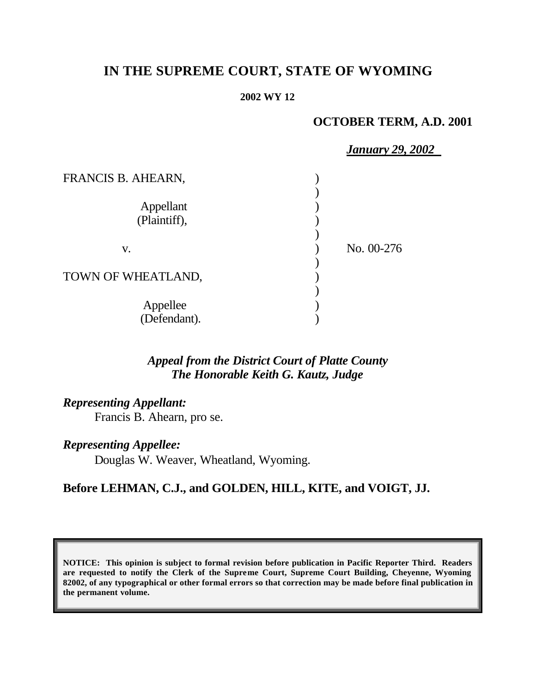# **IN THE SUPREME COURT, STATE OF WYOMING**

#### **2002 WY 12**

## **OCTOBER TERM, A.D. 2001**

|                           | <b>January 29, 2002</b> |
|---------------------------|-------------------------|
| FRANCIS B. AHEARN,        |                         |
| Appellant<br>(Plaintiff), |                         |
| V.                        | No. 00-276              |
| TOWN OF WHEATLAND,        |                         |
| Appellee<br>(Defendant).  |                         |

## *Appeal from the District Court of Platte County The Honorable Keith G. Kautz, Judge*

*Representing Appellant:*

Francis B. Ahearn, pro se.

*Representing Appellee:*

Douglas W. Weaver, Wheatland, Wyoming.

## **Before LEHMAN, C.J., and GOLDEN, HILL, KITE, and VOIGT, JJ.**

**NOTICE: This opinion is subject to formal revision before publication in Pacific Reporter Third. Readers are requested to notify the Clerk of the Supreme Court, Supreme Court Building, Cheyenne, Wyoming 82002, of any typographical or other formal errors so that correction may be made before final publication in the permanent volume.**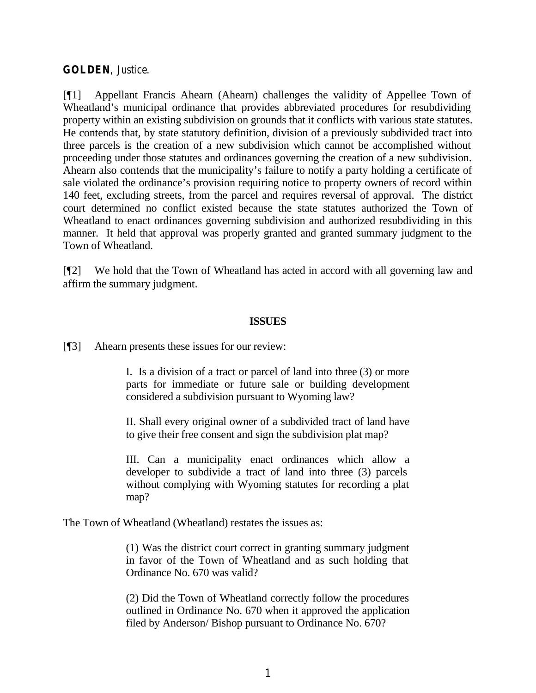#### **GOLDEN**, Justice.

[¶1] Appellant Francis Ahearn (Ahearn) challenges the validity of Appellee Town of Wheatland's municipal ordinance that provides abbreviated procedures for resubdividing property within an existing subdivision on grounds that it conflicts with various state statutes. He contends that, by state statutory definition, division of a previously subdivided tract into three parcels is the creation of a new subdivision which cannot be accomplished without proceeding under those statutes and ordinances governing the creation of a new subdivision. Ahearn also contends that the municipality's failure to notify a party holding a certificate of sale violated the ordinance's provision requiring notice to property owners of record within 140 feet, excluding streets, from the parcel and requires reversal of approval. The district court determined no conflict existed because the state statutes authorized the Town of Wheatland to enact ordinances governing subdivision and authorized resubdividing in this manner. It held that approval was properly granted and granted summary judgment to the Town of Wheatland.

[¶2] We hold that the Town of Wheatland has acted in accord with all governing law and affirm the summary judgment.

#### **ISSUES**

[¶3] Ahearn presents these issues for our review:

I. Is a division of a tract or parcel of land into three (3) or more parts for immediate or future sale or building development considered a subdivision pursuant to Wyoming law?

II. Shall every original owner of a subdivided tract of land have to give their free consent and sign the subdivision plat map?

III. Can a municipality enact ordinances which allow a developer to subdivide a tract of land into three (3) parcels without complying with Wyoming statutes for recording a plat map?

The Town of Wheatland (Wheatland) restates the issues as:

(1) Was the district court correct in granting summary judgment in favor of the Town of Wheatland and as such holding that Ordinance No. 670 was valid?

(2) Did the Town of Wheatland correctly follow the procedures outlined in Ordinance No. 670 when it approved the application filed by Anderson/ Bishop pursuant to Ordinance No. 670?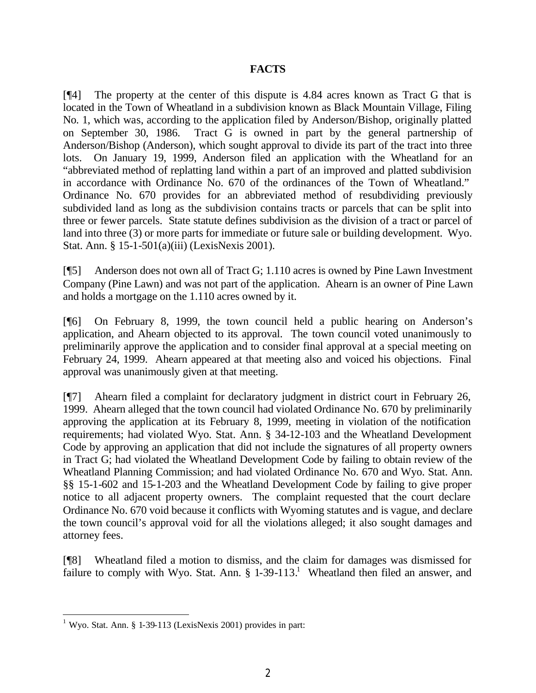## **FACTS**

[¶4] The property at the center of this dispute is 4.84 acres known as Tract G that is located in the Town of Wheatland in a subdivision known as Black Mountain Village, Filing No. 1, which was, according to the application filed by Anderson/Bishop, originally platted on September 30, 1986. Tract G is owned in part by the general partnership of Anderson/Bishop (Anderson), which sought approval to divide its part of the tract into three lots. On January 19, 1999, Anderson filed an application with the Wheatland for an "abbreviated method of replatting land within a part of an improved and platted subdivision in accordance with Ordinance No. 670 of the ordinances of the Town of Wheatland." Ordinance No. 670 provides for an abbreviated method of resubdividing previously subdivided land as long as the subdivision contains tracts or parcels that can be split into three or fewer parcels. State statute defines subdivision as the division of a tract or parcel of land into three (3) or more parts for immediate or future sale or building development. Wyo. Stat. Ann. § 15-1-501(a)(iii) (LexisNexis 2001).

[¶5] Anderson does not own all of Tract G; 1.110 acres is owned by Pine Lawn Investment Company (Pine Lawn) and was not part of the application. Ahearn is an owner of Pine Lawn and holds a mortgage on the 1.110 acres owned by it.

[¶6] On February 8, 1999, the town council held a public hearing on Anderson's application, and Ahearn objected to its approval. The town council voted unanimously to preliminarily approve the application and to consider final approval at a special meeting on February 24, 1999. Ahearn appeared at that meeting also and voiced his objections. Final approval was unanimously given at that meeting.

[¶7] Ahearn filed a complaint for declaratory judgment in district court in February 26, 1999. Ahearn alleged that the town council had violated Ordinance No. 670 by preliminarily approving the application at its February 8, 1999, meeting in violation of the notification requirements; had violated Wyo. Stat. Ann. § 34-12-103 and the Wheatland Development Code by approving an application that did not include the signatures of all property owners in Tract G; had violated the Wheatland Development Code by failing to obtain review of the Wheatland Planning Commission; and had violated Ordinance No. 670 and Wyo. Stat. Ann. §§ 15-1-602 and 15-1-203 and the Wheatland Development Code by failing to give proper notice to all adjacent property owners. The complaint requested that the court declare Ordinance No. 670 void because it conflicts with Wyoming statutes and is vague, and declare the town council's approval void for all the violations alleged; it also sought damages and attorney fees.

[¶8] Wheatland filed a motion to dismiss, and the claim for damages was dismissed for failure to comply with Wyo. Stat. Ann.  $\S 1-39-113$ .<sup>1</sup> Wheatland then filed an answer, and

<sup>&</sup>lt;sup>1</sup> Wyo. Stat. Ann. § 1-39-113 (LexisNexis 2001) provides in part: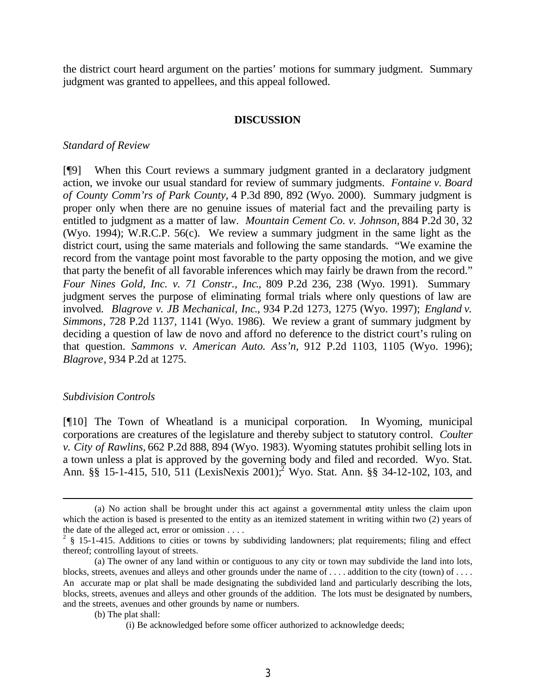the district court heard argument on the parties' motions for summary judgment. Summary judgment was granted to appellees, and this appeal followed.

#### **DISCUSSION**

#### *Standard of Review*

[¶9] When this Court reviews a summary judgment granted in a declaratory judgment action, we invoke our usual standard for review of summary judgments. *Fontaine v. Board of County Comm'rs of Park County,* 4 P.3d 890, 892 (Wyo. 2000). Summary judgment is proper only when there are no genuine issues of material fact and the prevailing party is entitled to judgment as a matter of law. *Mountain Cement Co. v. Johnson,* 884 P.2d 30, 32 (Wyo. 1994); W.R.C.P. 56(c). We review a summary judgment in the same light as the district court, using the same materials and following the same standards. "We examine the record from the vantage point most favorable to the party opposing the motion, and we give that party the benefit of all favorable inferences which may fairly be drawn from the record." *Four Nines Gold, Inc. v. 71 Constr., Inc*., 809 P.2d 236, 238 (Wyo. 1991). Summary judgment serves the purpose of eliminating formal trials where only questions of law are involved. *Blagrove v. JB Mechanical, Inc*., 934 P.2d 1273, 1275 (Wyo. 1997); *England v. Simmons*, 728 P.2d 1137, 1141 (Wyo. 1986). We review a grant of summary judgment by deciding a question of law de novo and afford no deference to the district court's ruling on that question. *Sammons v. American Auto. Ass'n*, 912 P.2d 1103, 1105 (Wyo. 1996); *Blagrove*, 934 P.2d at 1275.

#### *Subdivision Controls*

[¶10] The Town of Wheatland is a municipal corporation. In Wyoming, municipal corporations are creatures of the legislature and thereby subject to statutory control. *Coulter v. City of Rawlins,* 662 P.2d 888, 894 (Wyo. 1983). Wyoming statutes prohibit selling lots in a town unless a plat is approved by the governing body and filed and recorded. Wyo. Stat. Ann. §§ 15-1-415, 510, 511 (LexisNexis 2001);<sup>2</sup> Wyo. Stat. Ann. §§ 34-12-102, 103, and

<sup>(</sup>a) No action shall be brought under this act against a governmental entity unless the claim upon which the action is based is presented to the entity as an itemized statement in writing within two (2) years of the date of the alleged act, error or omission . . . .

 $2 \frac{1}{2}$  § 15-1-415. Additions to cities or towns by subdividing landowners; plat requirements; filing and effect thereof; controlling layout of streets.

<sup>(</sup>a) The owner of any land within or contiguous to any city or town may subdivide the land into lots, blocks, streets, avenues and alleys and other grounds under the name of ... . addition to the city (town) of ... An accurate map or plat shall be made designating the subdivided land and particularly describing the lots, blocks, streets, avenues and alleys and other grounds of the addition. The lots must be designated by numbers, and the streets, avenues and other grounds by name or numbers.

<sup>(</sup>b) The plat shall:

<sup>(</sup>i) Be acknowledged before some officer authorized to acknowledge deeds;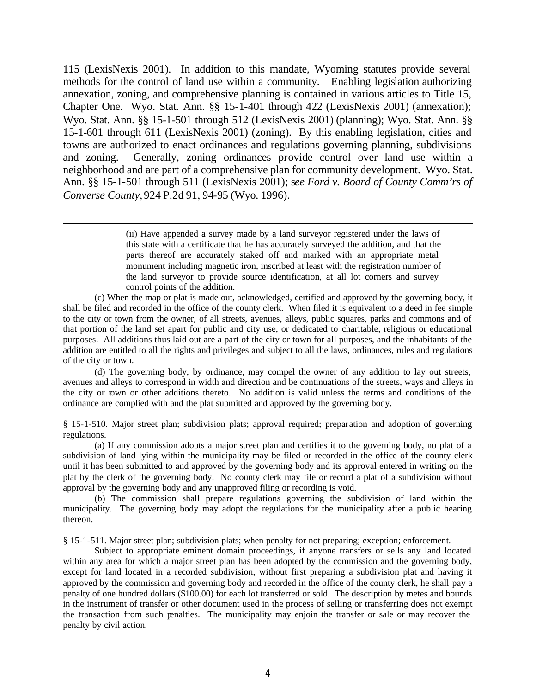115 (LexisNexis 2001). In addition to this mandate, Wyoming statutes provide several methods for the control of land use within a community. Enabling legislation authorizing annexation, zoning, and comprehensive planning is contained in various articles to Title 15, Chapter One. Wyo. Stat. Ann. §§ 15-1-401 through 422 (LexisNexis 2001) (annexation); Wyo. Stat. Ann. §§ 15-1-501 through 512 (LexisNexis 2001) (planning); Wyo. Stat. Ann. §§ 15-1-601 through 611 (LexisNexis 2001) (zoning). By this enabling legislation, cities and towns are authorized to enact ordinances and regulations governing planning, subdivisions and zoning. Generally, zoning ordinances provide control over land use within a neighborhood and are part of a comprehensive plan for community development. Wyo. Stat. Ann. §§ 15-1-501 through 511 (LexisNexis 2001); s*ee Ford v. Board of County Comm'rs of Converse County,* 924 P.2d 91, 94-95 (Wyo. 1996).

(ii) Have appended a survey made by a land surveyor registered under the laws of this state with a certificate that he has accurately surveyed the addition, and that the parts thereof are accurately staked off and marked with an appropriate metal monument including magnetic iron, inscribed at least with the registration number of the land surveyor to provide source identification, at all lot corners and survey control points of the addition.

(c) When the map or plat is made out, acknowledged, certified and approved by the governing body, it shall be filed and recorded in the office of the county clerk. When filed it is equivalent to a deed in fee simple to the city or town from the owner, of all streets, avenues, alleys, public squares, parks and commons and of that portion of the land set apart for public and city use, or dedicated to charitable, religious or educational purposes. All additions thus laid out are a part of the city or town for all purposes, and the inhabitants of the addition are entitled to all the rights and privileges and subject to all the laws, ordinances, rules and regulations of the city or town.

(d) The governing body, by ordinance, may compel the owner of any addition to lay out streets, avenues and alleys to correspond in width and direction and be continuations of the streets, ways and alleys in the city or town or other additions thereto. No addition is valid unless the terms and conditions of the ordinance are complied with and the plat submitted and approved by the governing body.

§ 15-1-510. Major street plan; subdivision plats; approval required; preparation and adoption of governing regulations.

(a) If any commission adopts a major street plan and certifies it to the governing body, no plat of a subdivision of land lying within the municipality may be filed or recorded in the office of the county clerk until it has been submitted to and approved by the governing body and its approval entered in writing on the plat by the clerk of the governing body. No county clerk may file or record a plat of a subdivision without approval by the governing body and any unapproved filing or recording is void.

(b) The commission shall prepare regulations governing the subdivision of land within the municipality. The governing body may adopt the regulations for the municipality after a public hearing thereon.

§ 15-1-511. Major street plan; subdivision plats; when penalty for not preparing; exception; enforcement.

Subject to appropriate eminent domain proceedings, if anyone transfers or sells any land located within any area for which a major street plan has been adopted by the commission and the governing body, except for land located in a recorded subdivision, without first preparing a subdivision plat and having it approved by the commission and governing body and recorded in the office of the county clerk, he shall pay a penalty of one hundred dollars (\$100.00) for each lot transferred or sold. The description by metes and bounds in the instrument of transfer or other document used in the process of selling or transferring does not exempt the transaction from such penalties. The municipality may enjoin the transfer or sale or may recover the penalty by civil action.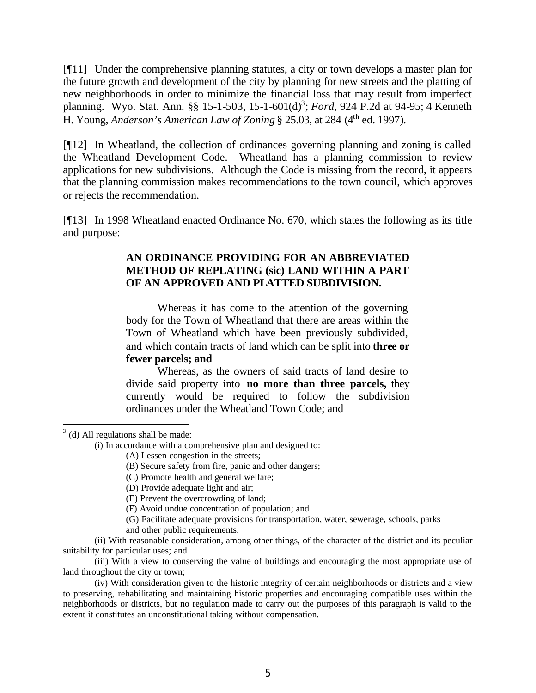[¶11] Under the comprehensive planning statutes, a city or town develops a master plan for the future growth and development of the city by planning for new streets and the platting of new neighborhoods in order to minimize the financial loss that may result from imperfect planning. Wyo. Stat. Ann. §§ 15-1-503, 15-1-601(d)<sup>3</sup>; *Ford*, 924 P.2d at 94-95; 4 Kenneth H. Young, *Anderson's American Law of Zoning* § 25.03, at 284 (4th ed. 1997)*.*

[¶12] In Wheatland, the collection of ordinances governing planning and zoning is called the Wheatland Development Code. Wheatland has a planning commission to review applications for new subdivisions. Although the Code is missing from the record, it appears that the planning commission makes recommendations to the town council, which approves or rejects the recommendation.

[¶13] In 1998 Wheatland enacted Ordinance No. 670, which states the following as its title and purpose:

## **AN ORDINANCE PROVIDING FOR AN ABBREVIATED METHOD OF REPLATING (sic) LAND WITHIN A PART OF AN APPROVED AND PLATTED SUBDIVISION.**

Whereas it has come to the attention of the governing body for the Town of Wheatland that there are areas within the Town of Wheatland which have been previously subdivided, and which contain tracts of land which can be split into **three or fewer parcels; and**

Whereas, as the owners of said tracts of land desire to divide said property into **no more than three parcels,** they currently would be required to follow the subdivision ordinances under the Wheatland Town Code; and

 $3$  (d) All regulations shall be made:

- (G) Facilitate adequate provisions for transportation, water, sewerage, schools, parks
- and other public requirements.

(ii) With reasonable consideration, among other things, of the character of the district and its peculiar suitability for particular uses; and

(iii) With a view to conserving the value of buildings and encouraging the most appropriate use of land throughout the city or town;

(iv) With consideration given to the historic integrity of certain neighborhoods or districts and a view to preserving, rehabilitating and maintaining historic properties and encouraging compatible uses within the neighborhoods or districts, but no regulation made to carry out the purposes of this paragraph is valid to the extent it constitutes an unconstitutional taking without compensation.

<sup>(</sup>i) In accordance with a comprehensive plan and designed to:

<sup>(</sup>A) Lessen congestion in the streets;

<sup>(</sup>B) Secure safety from fire, panic and other dangers;

<sup>(</sup>C) Promote health and general welfare;

<sup>(</sup>D) Provide adequate light and air;

<sup>(</sup>E) Prevent the overcrowding of land;

<sup>(</sup>F) Avoid undue concentration of population; and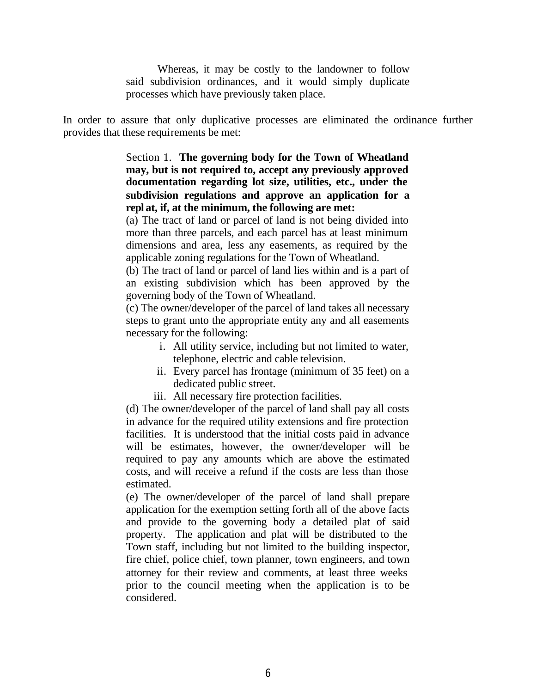Whereas, it may be costly to the landowner to follow said subdivision ordinances, and it would simply duplicate processes which have previously taken place.

In order to assure that only duplicative processes are eliminated the ordinance further provides that these requirements be met:

> Section 1. **The governing body for the Town of Wheatland may, but is not required to, accept any previously approved documentation regarding lot size, utilities, etc., under the subdivision regulations and approve an application for a repl at, if, at the minimum, the following are met:**

> (a) The tract of land or parcel of land is not being divided into more than three parcels, and each parcel has at least minimum dimensions and area, less any easements, as required by the applicable zoning regulations for the Town of Wheatland.

> (b) The tract of land or parcel of land lies within and is a part of an existing subdivision which has been approved by the governing body of the Town of Wheatland.

> (c) The owner/developer of the parcel of land takes all necessary steps to grant unto the appropriate entity any and all easements necessary for the following:

- i. All utility service, including but not limited to water, telephone, electric and cable television.
- ii. Every parcel has frontage (minimum of 35 feet) on a dedicated public street.
- iii. All necessary fire protection facilities.

(d) The owner/developer of the parcel of land shall pay all costs in advance for the required utility extensions and fire protection facilities. It is understood that the initial costs paid in advance will be estimates, however, the owner/developer will be required to pay any amounts which are above the estimated costs, and will receive a refund if the costs are less than those estimated.

(e) The owner/developer of the parcel of land shall prepare application for the exemption setting forth all of the above facts and provide to the governing body a detailed plat of said property. The application and plat will be distributed to the Town staff, including but not limited to the building inspector, fire chief, police chief, town planner, town engineers, and town attorney for their review and comments, at least three weeks prior to the council meeting when the application is to be considered.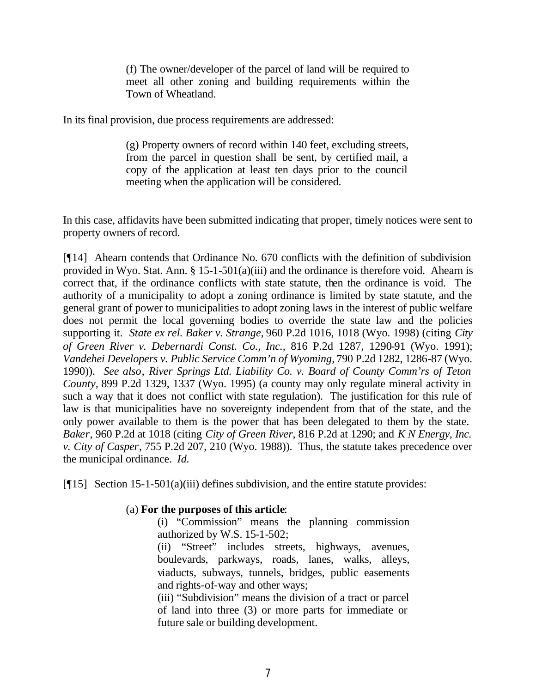(f) The owner/developer of the parcel of land will be required to meet all other zoning and building requirements within the Town of Wheatland.

In its final provision, due process requirements are addressed:

(g) Property owners of record within 140 feet, excluding streets, from the parcel in question shall be sent, by certified mail, a copy of the application at least ten days prior to the council meeting when the application will be considered.

In this case, affidavits have been submitted indicating that proper, timely notices were sent to property owners of record.

[¶14] Ahearn contends that Ordinance No. 670 conflicts with the definition of subdivision provided in Wyo. Stat. Ann. § 15-1-501(a)(iii) and the ordinance is therefore void. Ahearn is correct that, if the ordinance conflicts with state statute, then the ordinance is void. The authority of a municipality to adopt a zoning ordinance is limited by state statute, and the general grant of power to municipalities to adopt zoning laws in the interest of public welfare does not permit the local governing bodies to override the state law and the policies supporting it. *State ex rel. Baker v. Strange,* 960 P.2d 1016, 1018 (Wyo. 1998) (citing *City of Green River v. Debernardi Const. Co., Inc.,* 816 P.2d 1287, 1290-91 (Wyo. 1991); *Vandehei Developers v. Public Service Comm'n of Wyoming,* 790 P.2d 1282, 1286-87 (Wyo. 1990)). *See also*, *River Springs Ltd. Liability Co. v. Board of County Comm'rs of Teton County,* 899 P.2d 1329, 1337 (Wyo. 1995) (a county may only regulate mineral activity in such a way that it does not conflict with state regulation). The justification for this rule of law is that municipalities have no sovereignty independent from that of the state, and the only power available to them is the power that has been delegated to them by the state. *Baker*, 960 P.2d at 1018 (citing *City of Green River*, 816 P.2d at 1290; and *K N Energy, Inc. v. City of Casper*, 755 P.2d 207, 210 (Wyo. 1988)). Thus, the statute takes precedence over the municipal ordinance. *Id.*

[¶15] Section 15-1-501(a)(iii) defines subdivision, and the entire statute provides:

## (a) **For the purposes of this article**:

(i) "Commission" means the planning commission authorized by W.S. 15-1-502;

(ii) "Street" includes streets, highways, avenues, boulevards, parkways, roads, lanes, walks, alleys, viaducts, subways, tunnels, bridges, public easements and rights-of-way and other ways;

(iii) "Subdivision" means the division of a tract or parcel of land into three (3) or more parts for immediate or future sale or building development.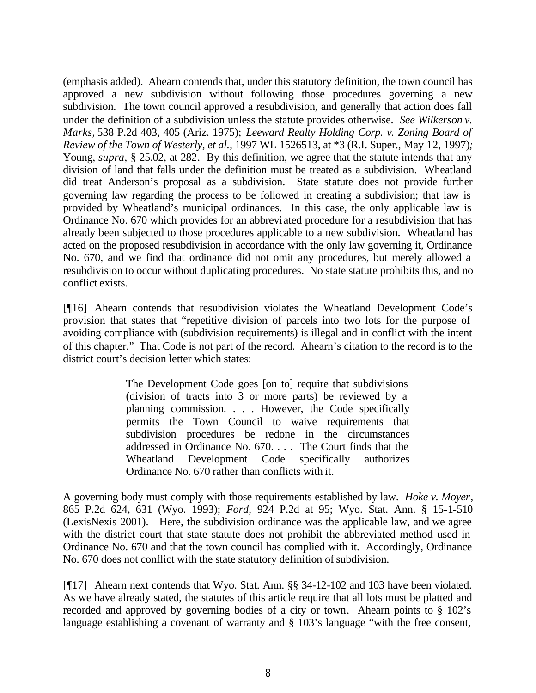(emphasis added). Ahearn contends that, under this statutory definition, the town council has approved a new subdivision without following those procedures governing a new subdivision. The town council approved a resubdivision, and generally that action does fall under the definition of a subdivision unless the statute provides otherwise. *See Wilkerson v. Marks,* 538 P.2d 403, 405 (Ariz. 1975); *Leeward Realty Holding Corp. v. Zoning Board of Review of the Town of Westerly, et al.,* 1997 WL 1526513, at \*3 (R.I. Super., May 12, 1997)*;*  Young, *supra,* § 25.02, at 282*.* By this definition, we agree that the statute intends that any division of land that falls under the definition must be treated as a subdivision. Wheatland did treat Anderson's proposal as a subdivision. State statute does not provide further governing law regarding the process to be followed in creating a subdivision; that law is provided by Wheatland's municipal ordinances. In this case, the only applicable law is Ordinance No. 670 which provides for an abbreviated procedure for a resubdivision that has already been subjected to those procedures applicable to a new subdivision. Wheatland has acted on the proposed resubdivision in accordance with the only law governing it, Ordinance No. 670, and we find that ordinance did not omit any procedures, but merely allowed a resubdivision to occur without duplicating procedures. No state statute prohibits this, and no conflict exists.

[¶16] Ahearn contends that resubdivision violates the Wheatland Development Code's provision that states that "repetitive division of parcels into two lots for the purpose of avoiding compliance with (subdivision requirements) is illegal and in conflict with the intent of this chapter." That Code is not part of the record. Ahearn's citation to the record is to the district court's decision letter which states:

> The Development Code goes [on to] require that subdivisions (division of tracts into 3 or more parts) be reviewed by a planning commission. . . . However, the Code specifically permits the Town Council to waive requirements that subdivision procedures be redone in the circumstances addressed in Ordinance No. 670. . . . The Court finds that the Wheatland Development Code specifically authorizes Ordinance No. 670 rather than conflicts with it.

A governing body must comply with those requirements established by law. *Hoke v. Moyer*, 865 P.2d 624, 631 (Wyo. 1993); *Ford,* 924 P.2d at 95; Wyo. Stat. Ann. § 15-1-510 (LexisNexis 2001). Here, the subdivision ordinance was the applicable law, and we agree with the district court that state statute does not prohibit the abbreviated method used in Ordinance No. 670 and that the town council has complied with it. Accordingly, Ordinance No. 670 does not conflict with the state statutory definition of subdivision.

[¶17] Ahearn next contends that Wyo. Stat. Ann. §§ 34-12-102 and 103 have been violated. As we have already stated, the statutes of this article require that all lots must be platted and recorded and approved by governing bodies of a city or town. Ahearn points to § 102's language establishing a covenant of warranty and § 103's language "with the free consent,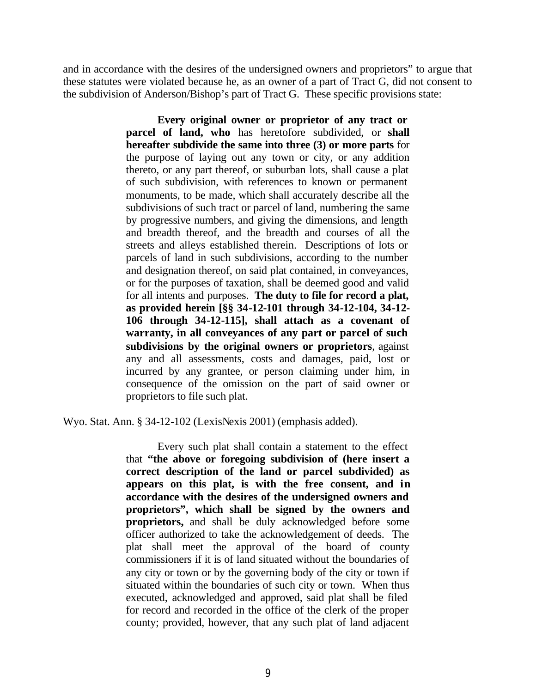and in accordance with the desires of the undersigned owners and proprietors" to argue that these statutes were violated because he, as an owner of a part of Tract G, did not consent to the subdivision of Anderson/Bishop's part of Tract G. These specific provisions state:

> **Every original owner or proprietor of any tract or parcel of land, who** has heretofore subdivided, or **shall hereafter subdivide the same into three (3) or more parts** for the purpose of laying out any town or city, or any addition thereto, or any part thereof, or suburban lots, shall cause a plat of such subdivision, with references to known or permanent monuments, to be made, which shall accurately describe all the subdivisions of such tract or parcel of land, numbering the same by progressive numbers, and giving the dimensions, and length and breadth thereof, and the breadth and courses of all the streets and alleys established therein. Descriptions of lots or parcels of land in such subdivisions, according to the number and designation thereof, on said plat contained, in conveyances, or for the purposes of taxation, shall be deemed good and valid for all intents and purposes. **The duty to file for record a plat, as provided herein [§§ 34-12-101 through 34-12-104, 34-12- 106 through 34-12-115], shall attach as a covenant of warranty, in all conveyances of any part or parcel of such subdivisions by the original owners or proprietors**, against any and all assessments, costs and damages, paid, lost or incurred by any grantee, or person claiming under him, in consequence of the omission on the part of said owner or proprietors to file such plat.

Wyo. Stat. Ann. § 34-12-102 (LexisNexis 2001) (emphasis added).

Every such plat shall contain a statement to the effect that **"the above or foregoing subdivision of (here insert a correct description of the land or parcel subdivided) as appears on this plat, is with the free consent, and in accordance with the desires of the undersigned owners and proprietors", which shall be signed by the owners and proprietors,** and shall be duly acknowledged before some officer authorized to take the acknowledgement of deeds. The plat shall meet the approval of the board of county commissioners if it is of land situated without the boundaries of any city or town or by the governing body of the city or town if situated within the boundaries of such city or town. When thus executed, acknowledged and approved, said plat shall be filed for record and recorded in the office of the clerk of the proper county; provided, however, that any such plat of land adjacent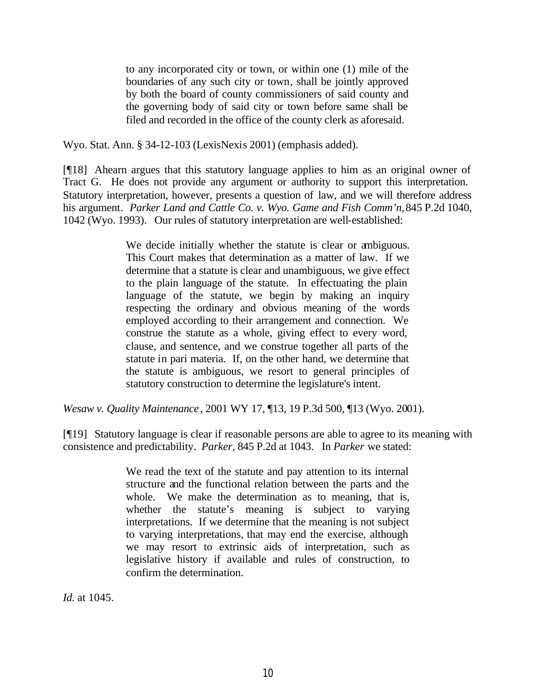to any incorporated city or town, or within one (1) mile of the boundaries of any such city or town, shall be jointly approved by both the board of county commissioners of said county and the governing body of said city or town before same shall be filed and recorded in the office of the county clerk as aforesaid.

Wyo. Stat. Ann. § 34-12-103 (LexisNexis 2001) (emphasis added).

[¶18] Ahearn argues that this statutory language applies to him as an original owner of Tract G. He does not provide any argument or authority to support this interpretation. Statutory interpretation, however, presents a question of law, and we will therefore address his argument*. Parker Land and Cattle Co. v. Wyo. Game and Fish Comm'n,* 845 P.2d 1040, 1042 (Wyo. 1993). Our rules of statutory interpretation are well-established:

> We decide initially whether the statute is clear or ambiguous. This Court makes that determination as a matter of law. If we determine that a statute is clear and unambiguous, we give effect to the plain language of the statute. In effectuating the plain language of the statute, we begin by making an inquiry respecting the ordinary and obvious meaning of the words employed according to their arrangement and connection. We construe the statute as a whole, giving effect to every word, clause, and sentence, and we construe together all parts of the statute in pari materia. If, on the other hand, we determine that the statute is ambiguous, we resort to general principles of statutory construction to determine the legislature's intent.

*Wesaw v. Quality Maintenance*, 2001 WY 17, ¶13, 19 P.3d 500, ¶13 (Wyo. 2001).

[¶19] Statutory language is clear if reasonable persons are able to agree to its meaning with consistence and predictability. *Parker*, 845 P.2d at 1043. In *Parker* we stated:

> We read the text of the statute and pay attention to its internal structure and the functional relation between the parts and the whole. We make the determination as to meaning, that is, whether the statute's meaning is subject to varying interpretations. If we determine that the meaning is not subject to varying interpretations, that may end the exercise, although we may resort to extrinsic aids of interpretation, such as legislative history if available and rules of construction, to confirm the determination.

*Id.* at 1045.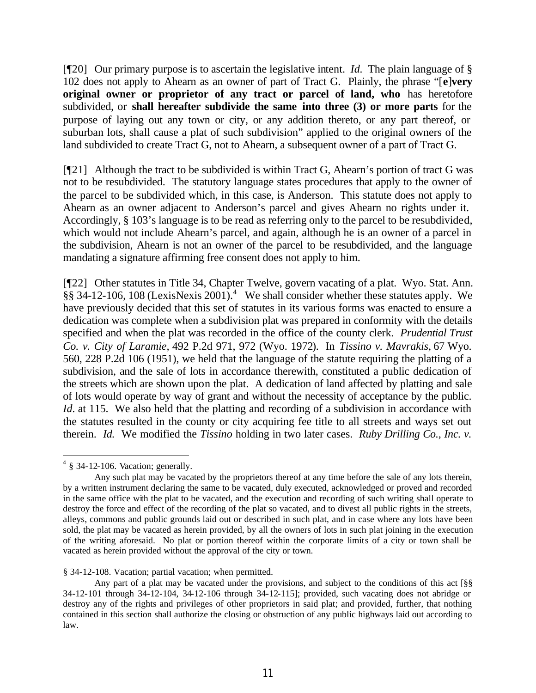[¶20] Our primary purpose is to ascertain the legislative intent. *Id.* The plain language of § 102 does not apply to Ahearn as an owner of part of Tract G. Plainly, the phrase "[**e**]**very original owner or proprietor of any tract or parcel of land, who** has heretofore subdivided, or **shall hereafter subdivide the same into three (3) or more parts** for the purpose of laying out any town or city, or any addition thereto, or any part thereof, or suburban lots, shall cause a plat of such subdivision" applied to the original owners of the land subdivided to create Tract G, not to Ahearn, a subsequent owner of a part of Tract G.

 $[$ [[21] Although the tract to be subdivided is within Tract G, Ahearn's portion of tract G was not to be resubdivided. The statutory language states procedures that apply to the owner of the parcel to be subdivided which, in this case, is Anderson. This statute does not apply to Ahearn as an owner adjacent to Anderson's parcel and gives Ahearn no rights under it. Accordingly, § 103's language is to be read as referring only to the parcel to be resubdivided, which would not include Ahearn's parcel, and again, although he is an owner of a parcel in the subdivision, Ahearn is not an owner of the parcel to be resubdivided, and the language mandating a signature affirming free consent does not apply to him.

[¶22] Other statutes in Title 34, Chapter Twelve, govern vacating of a plat. Wyo. Stat. Ann. §§ 34-12-106, 108 (LexisNexis 2001).<sup>4</sup> We shall consider whether these statutes apply. We have previously decided that this set of statutes in its various forms was enacted to ensure a dedication was complete when a subdivision plat was prepared in conformity with the details specified and when the plat was recorded in the office of the county clerk. *Prudential Trust Co. v. City of Laramie,* 492 P.2d 971, 972 (Wyo. 1972). In *Tissino v. Mavrakis,* 67 Wyo. 560, 228 P.2d 106 (1951), we held that the language of the statute requiring the platting of a subdivision, and the sale of lots in accordance therewith, constituted a public dedication of the streets which are shown upon the plat. A dedication of land affected by platting and sale of lots would operate by way of grant and without the necessity of acceptance by the public. *Id.* at 115. We also held that the platting and recording of a subdivision in accordance with the statutes resulted in the county or city acquiring fee title to all streets and ways set out therein. *Id.* We modified the *Tissino* holding in two later cases. *Ruby Drilling Co., Inc. v.* 

§ 34-12-108. Vacation; partial vacation; when permitted.

 $4 \text{ }$  § 34-12-106. Vacation; generally.

Any such plat may be vacated by the proprietors thereof at any time before the sale of any lots therein, by a written instrument declaring the same to be vacated, duly executed, acknowledged or proved and recorded in the same office with the plat to be vacated, and the execution and recording of such writing shall operate to destroy the force and effect of the recording of the plat so vacated, and to divest all public rights in the streets, alleys, commons and public grounds laid out or described in such plat, and in case where any lots have been sold, the plat may be vacated as herein provided, by all the owners of lots in such plat joining in the execution of the writing aforesaid. No plat or portion thereof within the corporate limits of a city or town shall be vacated as herein provided without the approval of the city or town.

Any part of a plat may be vacated under the provisions, and subject to the conditions of this act [§§ 34-12-101 through 34-12-104, 34-12-106 through 34-12-115]; provided, such vacating does not abridge or destroy any of the rights and privileges of other proprietors in said plat; and provided, further, that nothing contained in this section shall authorize the closing or obstruction of any public highways laid out according to law.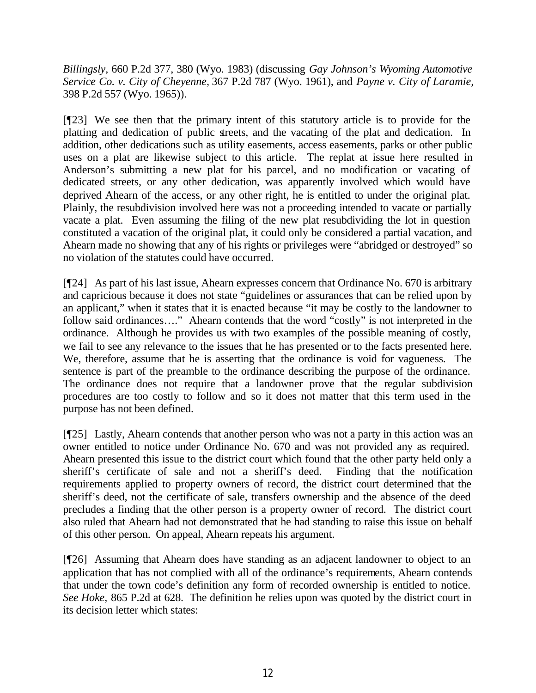*Billingsly,* 660 P.2d 377, 380 (Wyo. 1983) (discussing *Gay Johnson's Wyoming Automotive Service Co. v. City of Cheyenne,* 367 P.2d 787 (Wyo. 1961), and *Payne v. City of Laramie,* 398 P.2d 557 (Wyo. 1965)).

[¶23] We see then that the primary intent of this statutory article is to provide for the platting and dedication of public streets, and the vacating of the plat and dedication. In addition, other dedications such as utility easements, access easements, parks or other public uses on a plat are likewise subject to this article. The replat at issue here resulted in Anderson's submitting a new plat for his parcel, and no modification or vacating of dedicated streets, or any other dedication, was apparently involved which would have deprived Ahearn of the access, or any other right, he is entitled to under the original plat. Plainly, the resubdivision involved here was not a proceeding intended to vacate or partially vacate a plat. Even assuming the filing of the new plat resubdividing the lot in question constituted a vacation of the original plat, it could only be considered a partial vacation, and Ahearn made no showing that any of his rights or privileges were "abridged or destroyed" so no violation of the statutes could have occurred.

[¶24] As part of his last issue, Ahearn expresses concern that Ordinance No. 670 is arbitrary and capricious because it does not state "guidelines or assurances that can be relied upon by an applicant," when it states that it is enacted because "it may be costly to the landowner to follow said ordinances…." Ahearn contends that the word "costly" is not interpreted in the ordinance. Although he provides us with two examples of the possible meaning of costly, we fail to see any relevance to the issues that he has presented or to the facts presented here. We, therefore, assume that he is asserting that the ordinance is void for vagueness. The sentence is part of the preamble to the ordinance describing the purpose of the ordinance. The ordinance does not require that a landowner prove that the regular subdivision procedures are too costly to follow and so it does not matter that this term used in the purpose has not been defined.

[¶25] Lastly, Ahearn contends that another person who was not a party in this action was an owner entitled to notice under Ordinance No. 670 and was not provided any as required. Ahearn presented this issue to the district court which found that the other party held only a sheriff's certificate of sale and not a sheriff's deed. Finding that the notification requirements applied to property owners of record, the district court determined that the sheriff's deed, not the certificate of sale, transfers ownership and the absence of the deed precludes a finding that the other person is a property owner of record. The district court also ruled that Ahearn had not demonstrated that he had standing to raise this issue on behalf of this other person. On appeal, Ahearn repeats his argument.

[¶26] Assuming that Ahearn does have standing as an adjacent landowner to object to an application that has not complied with all of the ordinance's requirements, Ahearn contends that under the town code's definition any form of recorded ownership is entitled to notice. *See Hoke,* 865 P.2d at 628. The definition he relies upon was quoted by the district court in its decision letter which states: